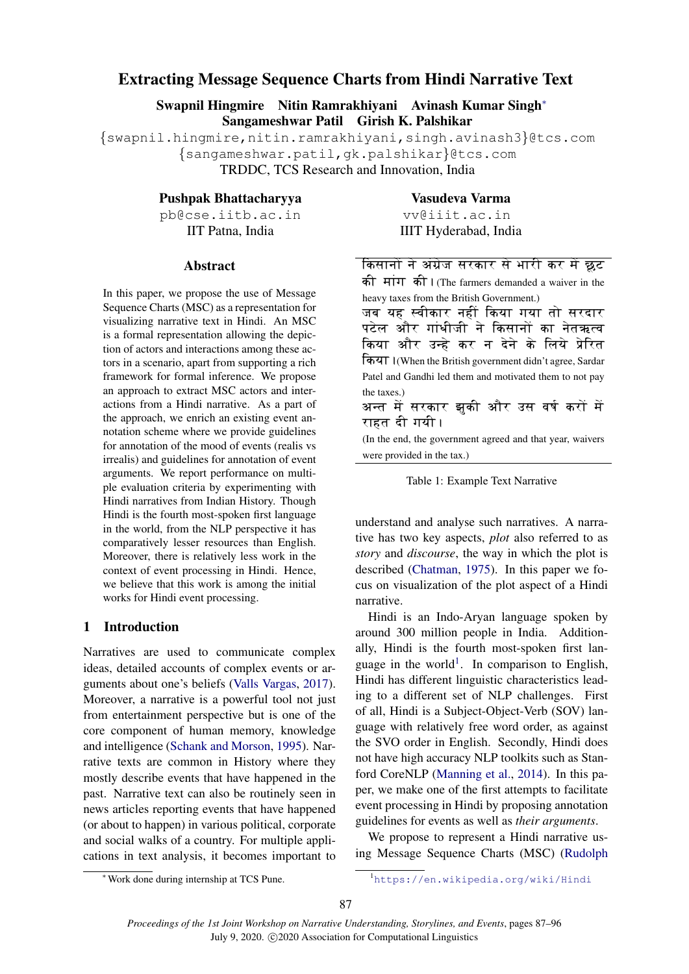# <span id="page-0-1"></span>Extracting Message Sequence Charts from Hindi Narrative Text

Swapnil Hingmire Nitin Ramrakhiyani Avinash Kumar Singh<sup>∗</sup> Sangameshwar Patil Girish K. Palshikar

{swapnil.hingmire,nitin.ramrakhiyani,singh.avinash3}@tcs.com {sangameshwar.patil,gk.palshikar}@tcs.com TRDDC, TCS Research and Innovation, India

Pushpak Bhattacharyya

pb@cse.iitb.ac.in IIT Patna, India

### Abstract

In this paper, we propose the use of Message Sequence Charts (MSC) as a representation for visualizing narrative text in Hindi. An MSC is a formal representation allowing the depiction of actors and interactions among these actors in a scenario, apart from supporting a rich framework for formal inference. We propose an approach to extract MSC actors and interactions from a Hindi narrative. As a part of the approach, we enrich an existing event annotation scheme where we provide guidelines for annotation of the mood of events (realis vs irrealis) and guidelines for annotation of event arguments. We report performance on multiple evaluation criteria by experimenting with Hindi narratives from Indian History. Though Hindi is the fourth most-spoken first language in the world, from the NLP perspective it has comparatively lesser resources than English. Moreover, there is relatively less work in the context of event processing in Hindi. Hence, we believe that this work is among the initial works for Hindi event processing.

## 1 Introduction

Narratives are used to communicate complex ideas, detailed accounts of complex events or arguments about one's beliefs [\(Valls Vargas,](#page-9-0) [2017\)](#page-9-0). Moreover, a narrative is a powerful tool not just from entertainment perspective but is one of the core component of human memory, knowledge and intelligence [\(Schank and Morson,](#page-8-0) [1995\)](#page-8-0). Narrative texts are common in History where they mostly describe events that have happened in the past. Narrative text can also be routinely seen in news articles reporting events that have happened (or about to happen) in various political, corporate and social walks of a country. For multiple applications in text analysis, it becomes important to

Vasudeva Varma vv@iiit.ac.in IIIT Hyderabad, India

<span id="page-0-0"></span>

| किसानों ने अंग्रेज सरकार से भारी कर में छूट               |
|-----------------------------------------------------------|
| की मांग की। (The farmers demanded a waiver in the         |
| heavy taxes from the British Government.)                 |
| जब यह स्वीकार नहीं किया गया तो सरदार                      |
| पटेल और गांधीजी ने किसानों का नेतऋत्व                     |
| किया और उन्हे कर न देने के लिये प्रेरित                   |
| किया । (When the British government didn't agree, Sardar  |
| Patel and Gandhi led them and motivated them to not pay   |
| the taxes.)                                               |
| अन्त में सरकार झुकी और उस वर्ष करों में                   |
| राहत दी गयी ।                                             |
| (In the end, the government agreed and that year, waivers |

(In the end, the government agreed and that year, waivers were provided in the tax.)

|  | Table 1: Example Text Narrative |  |  |
|--|---------------------------------|--|--|
|--|---------------------------------|--|--|

understand and analyse such narratives. A narrative has two key aspects, *plot* also referred to as *story* and *discourse*, the way in which the plot is described [\(Chatman,](#page-8-1) [1975\)](#page-8-1). In this paper we focus on visualization of the plot aspect of a Hindi narrative.

Hindi is an Indo-Aryan language spoken by around 300 million people in India. Additionally, Hindi is the fourth most-spoken first language in the world<sup>1</sup>. In comparison to English, Hindi has different linguistic characteristics leading to a different set of NLP challenges. First of all, Hindi is a Subject-Object-Verb (SOV) language with relatively free word order, as against the SVO order in English. Secondly, Hindi does not have high accuracy NLP toolkits such as Stanford CoreNLP [\(Manning et al.,](#page-8-2) [2014\)](#page-8-2). In this paper, we make one of the first attempts to facilitate event processing in Hindi by proposing annotation guidelines for events as well as *their arguments*.

We propose to represent a Hindi narrative using Message Sequence Charts (MSC) [\(Rudolph](#page-8-3)

<sup>1</sup>[https://en.wikipedia.org/wiki/Hindi](#page-8-3)

<sup>∗</sup>Work done during internship at TCS Pune.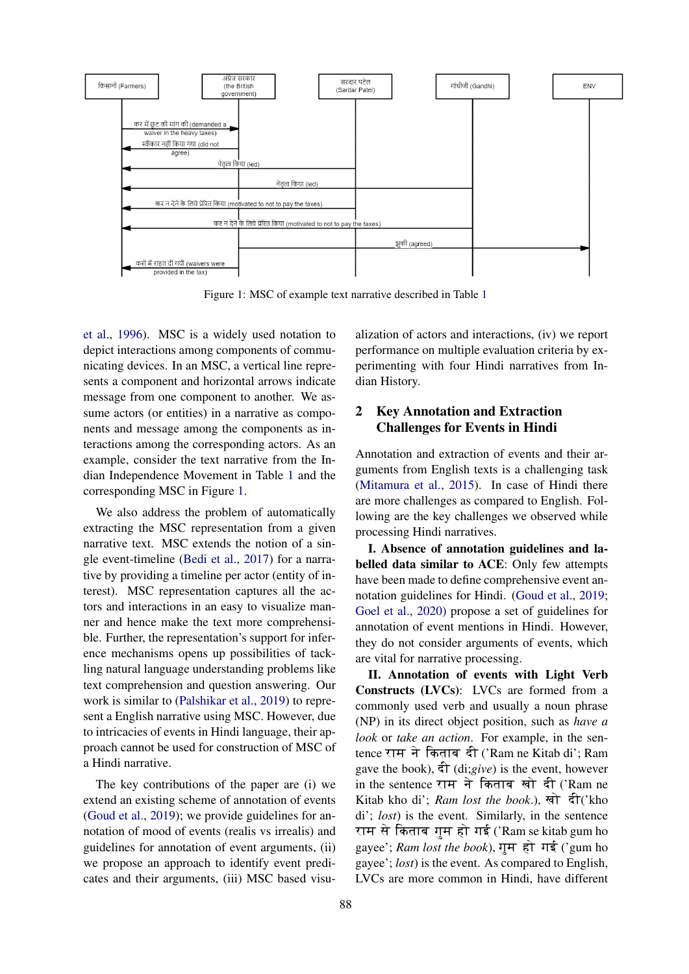<span id="page-1-0"></span>

Figure 1: MSC of example text narrative described in Table [1](#page-0-0)

[et al.,](#page-8-3) [1996\)](#page-8-3). MSC is a widely used notation to depict interactions among components of communicating devices. In an MSC, a vertical line represents a component and horizontal arrows indicate message from one component to another. We assume actors (or entities) in a narrative as components and message among the components as interactions among the corresponding actors. As an example, consider the text narrative from the Indian Independence Movement in Table [1](#page-0-0) and the corresponding MSC in Figure [1.](#page-1-0)

We also address the problem of automatically extracting the MSC representation from a given narrative text. MSC extends the notion of a single event-timeline [\(Bedi et al.,](#page-8-4) [2017\)](#page-8-4) for a narrative by providing a timeline per actor (entity of interest). MSC representation captures all the actors and interactions in an easy to visualize manner and hence make the text more comprehensible. Further, the representation's support for inference mechanisms opens up possibilities of tackling natural language understanding problems like text comprehension and question answering. Our work is similar to [\(Palshikar et al.,](#page-8-5) [2019\)](#page-8-5) to represent a English narrative using MSC. However, due to intricacies of events in Hindi language, their approach cannot be used for construction of MSC of a Hindi narrative.

The key contributions of the paper are (i) we extend an existing scheme of annotation of events [\(Goud et al.,](#page-8-6) [2019\)](#page-8-6); we provide guidelines for annotation of mood of events (realis vs irrealis) and guidelines for annotation of event arguments, (ii) we propose an approach to identify event predicates and their arguments, (iii) MSC based visu-

alization of actors and interactions, (iv) we report performance on multiple evaluation criteria by experimenting with four Hindi narratives from Indian History.

# 2 Key Annotation and Extraction Challenges for Events in Hindi

Annotation and extraction of events and their arguments from English texts is a challenging task [\(Mitamura et al.,](#page-8-7) [2015\)](#page-8-7). In case of Hindi there are more challenges as compared to English. Following are the key challenges we observed while processing Hindi narratives.

I. Absence of annotation guidelines and labelled data similar to ACE: Only few attempts have been made to define comprehensive event annotation guidelines for Hindi. [\(Goud et al.,](#page-8-6) [2019;](#page-8-6) [Goel et al.,](#page-8-8) [2020\)](#page-8-8) propose a set of guidelines for annotation of event mentions in Hindi. However, they do not consider arguments of events, which are vital for narrative processing.

II. Annotation of events with Light Verb Constructs (LVCs): LVCs are formed from a commonly used verb and usually a noun phrase (NP) in its direct object position, such as *have a look* or *take an action*. For example, in the sentence राम ने किताब दी ('Ram ne Kitab di'; Ram gave the book),  $\hat{\tau}$  (di;*give*) is the event, however in the sentence राम ने किताब खो दी ('Ram ne Kitab kho di'; *Ram lost the book*.), खो दी('kho di'; *lost*) is the event. Similarly, in the sentence राम से किताब गुम हो गई ('Ram se kitab gum ho gayee'; *Ram lost the book*), गुम हो गई ('gum ho gayee'; *lost*) is the event. As compared to English, LVCs are more common in Hindi, have different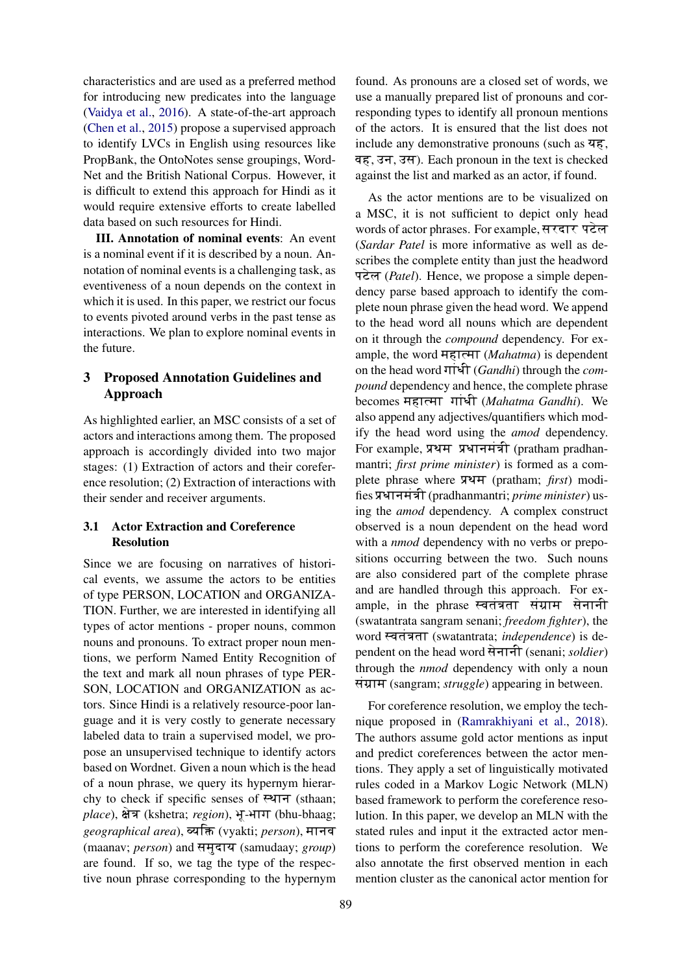characteristics and are used as a preferred method for introducing new predicates into the language [\(Vaidya et al.,](#page-9-1) [2016\)](#page-9-1). A state-of-the-art approach [\(Chen et al.,](#page-8-9) [2015\)](#page-8-9) propose a supervised approach to identify LVCs in English using resources like PropBank, the OntoNotes sense groupings, Word-Net and the British National Corpus. However, it is difficult to extend this approach for Hindi as it would require extensive efforts to create labelled data based on such resources for Hindi.

III. Annotation of nominal events: An event is a nominal event if it is described by a noun. Annotation of nominal events is a challenging task, as eventiveness of a noun depends on the context in which it is used. In this paper, we restrict our focus to events pivoted around verbs in the past tense as interactions. We plan to explore nominal events in the future.

# 3 Proposed Annotation Guidelines and Approach

As highlighted earlier, an MSC consists of a set of actors and interactions among them. The proposed approach is accordingly divided into two major stages: (1) Extraction of actors and their coreference resolution; (2) Extraction of interactions with their sender and receiver arguments.

## 3.1 Actor Extraction and Coreference Resolution

Since we are focusing on narratives of historical events, we assume the actors to be entities of type PERSON, LOCATION and ORGANIZA-TION. Further, we are interested in identifying all types of actor mentions - proper nouns, common nouns and pronouns. To extract proper noun mentions, we perform Named Entity Recognition of the text and mark all noun phrases of type PER-SON, LOCATION and ORGANIZATION as actors. Since Hindi is a relatively resource-poor language and it is very costly to generate necessary labeled data to train a supervised model, we propose an unsupervised technique to identify actors based on Wordnet. Given a noun which is the head of a noun phrase, we query its hypernym hierarchy to check if specific senses of  $F$ <sup>4</sup> $T$  (sthaan; *place*), क्षेत्र (kshetra; *region*), भू-भाग (bhu-bhaag; *geographical area*), व्यक्ति (vyakti; *person*), मानव (maanav; *person*) and समुदाय (samudaay; *group*) are found. If so, we tag the type of the respective noun phrase corresponding to the hypernym

found. As pronouns are a closed set of words, we use a manually prepared list of pronouns and corresponding types to identify all pronoun mentions of the actors. It is ensured that the list does not include any demonstrative pronouns (such as  $\overline{45}$ , वह, उन, उस). Each pronoun in the text is checked against the list and marked as an actor, if found.

As the actor mentions are to be visualized on a MSC, it is not sufficient to depict only head words of actor phrases. For example, सरदार पटेल (*Sardar Patel* is more informative as well as describes the complete entity than just the headword पटेल (*Patel*). Hence, we propose a simple dependency parse based approach to identify the complete noun phrase given the head word. We append to the head word all nouns which are dependent on it through the *compound* dependency. For example, the word महात्मा (*Mahatma*) is dependent on the head word  $\Pi\widehat{\mathcal{F}}$  (*Gandhi*) through the *compound* dependency and hence, the complete phrase becomes महात्मा गांधी (Mahatma Gandhi). We also append any adjectives/quantifiers which modify the head word using the *amod* dependency. For example, प्रथम प्रधानमंत्री (pratham pradhanmantri; *first prime minister*) is formed as a complete phrase where प्रथम (pratham; *first*) modifies प्रधानमंत्री (pradhanmantri; *prime minister*) using the *amod* dependency. A complex construct observed is a noun dependent on the head word with a *nmod* dependency with no verbs or prepositions occurring between the two. Such nouns are also considered part of the complete phrase and are handled through this approach. For example, in the phrase स्वतंत्रता संग्राम सेनानी (swatantrata sangram senani; *freedom fighter*), the word स्वतंत्रता (swatantrata; *independence*) is dependent on the head word सेनानी (senani; *soldier*) through the *nmod* dependency with only a noun संग्राम (sangram; *struggle*) appearing in between.

For coreference resolution, we employ the technique proposed in [\(Ramrakhiyani et al.,](#page-8-10) [2018\)](#page-8-10). The authors assume gold actor mentions as input and predict coreferences between the actor mentions. They apply a set of linguistically motivated rules coded in a Markov Logic Network (MLN) based framework to perform the coreference resolution. In this paper, we develop an MLN with the stated rules and input it the extracted actor mentions to perform the coreference resolution. We also annotate the first observed mention in each mention cluster as the canonical actor mention for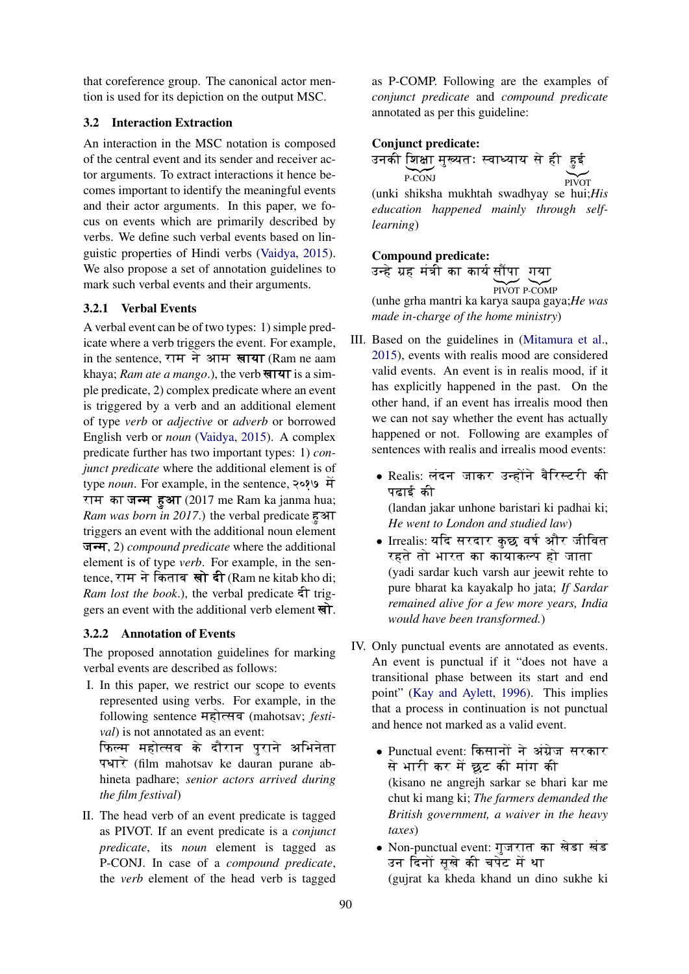that coreference group. The canonical actor mention is used for its depiction on the output MSC.

## 3.2 Interaction Extraction

An interaction in the MSC notation is composed of the central event and its sender and receiver actor arguments. To extract interactions it hence becomes important to identify the meaningful events and their actor arguments. In this paper, we focus on events which are primarily described by verbs. We define such verbal events based on linguistic properties of Hindi verbs [\(Vaidya,](#page-8-11) [2015\)](#page-8-11). We also propose a set of annotation guidelines to mark such verbal events and their arguments.

## 3.2.1 Verbal Events

A verbal event can be of two types: 1) simple predicate where a verb triggers the event. For example, in the sentence, राम ने आम खाया (Ram ne aam khaya; *Ram ate a mango*.), the verb **साया** is a simple predicate, 2) complex predicate where an event is triggered by a verb and an additional element of type *verb* or *adjective* or *adverb* or borrowed English verb or *noun* [\(Vaidya,](#page-8-11) [2015\)](#page-8-11). A complex predicate further has two important types: 1) *conjunct predicate* where the additional element is of type *noun*. For example, in the sentence, 2089 में राम का जन्म हुआ  $(2017 \text{ me } \text{Ram } \text{ka } \text{janma } \text{hua};$ *Ram was born in 2017.*) the verbal predicate  $\overline{\epsilon}$  $\overline{\epsilon}$ triggers an event with the additional noun element जन्म, 2) *compound predicate* where the additional element is of type *verb*. For example, in the sentence, राम ने किताब खो दी (Ram ne kitab kho di; *Ram lost the book.*), the verbal predicate  $\hat{\tau}$  triggers an event with the additional verb element  $\overrightarrow{A}$ .

## 3.2.2 Annotation of Events

The proposed annotation guidelines for marking verbal events are described as follows:

I. In this paper, we restrict our scope to events represented using verbs. For example, in the following sentence महोत्सव (mahotsav; *festival*) is not annotated as an event: फिल्म महोत्सव के दौरान पुराने अभिनेता

पधारे (film mahotsav ke dauran purane abhineta padhare; *senior actors arrived during the film festival*)

II. The head verb of an event predicate is tagged as PIVOT. If an event predicate is a *conjunct predicate*, its *noun* element is tagged as P-CONJ. In case of a *compound predicate*, the *verb* element of the head verb is tagged as P-COMP. Following are the examples of *conjunct predicate* and *compound predicate* annotated as per this guideline:

### Conjunct predicate:

उनकी शिक्षा मुख्यतः स्वाध्याय से ही हुई P-CONJ  $\sum$ PIVOT (unki shiksha mukhtah swadhyay se hui;*His education happened mainly through selflearning*)

## Compound predicate:

उन्हे ग्रह मंत्री का कार्य सौंपा गया PIVOT P-COMP (unhe grha mantri ka karya saupa gaya;*He was*

*made in-charge of the home ministry*)

- III. Based on the guidelines in [\(Mitamura et al.,](#page-8-7) [2015\)](#page-8-7), events with realis mood are considered valid events. An event is in realis mood, if it has explicitly happened in the past. On the other hand, if an event has irrealis mood then we can not say whether the event has actually happened or not. Following are examples of sentences with realis and irrealis mood events:
	- Realis: लंदन जाकर उन्होंने बैरिस्टरी की पदाई की (landan jakar unhone baristari ki padhai ki;

*He went to London and studied law*)

- Irrealis: यदि सरदार कुछ वर्ष और जीवित रहते तो भारत का कायाकल्प हो जाता (yadi sardar kuch varsh aur jeewit rehte to pure bharat ka kayakalp ho jata; *If Sardar remained alive for a few more years, India would have been transformed.*)
- IV. Only punctual events are annotated as events. An event is punctual if it "does not have a transitional phase between its start and end point" [\(Kay and Aylett,](#page-8-12) [1996\)](#page-8-12). This implies that a process in continuation is not punctual and hence not marked as a valid event.
	- Punctual event: किसानों ने अंग्रेज सरकार से भारी कर में छट की मांग की (kisano ne angrejh sarkar se bhari kar me chut ki mang ki; *The farmers demanded the British government, a waiver in the heavy taxes*)
	- Non-punctual event: गुजरात का खेडा खंड उन दिनों सखे की चपेट में था (gujrat ka kheda khand un dino sukhe ki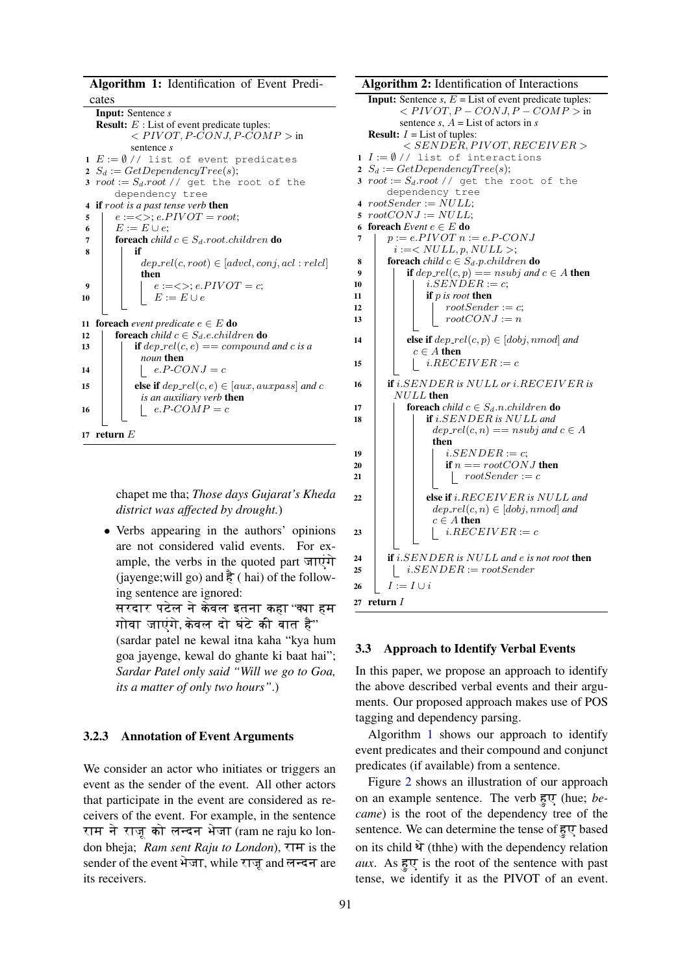Algorithm 1: Identification of Event Predi-

cates Input: Sentence *s* **Result:**  $E$  : List of event predicate tuples:  $\langle PIVOT, P\text{-}\overline{CONJ}, P\text{-}\overline{COMP} \rangle$  in sentence *s* 1  $E := \emptyset$  // list of event predicates 2  $S_d := GetDependencyTree(s);$ 3  $root := S_d root$  // get the root of the dependency tree 4 if root *is a past tense verb* then 5  $\mid e:=\langle \rangle; e.PIVOT=root;$ 6  $E := E \cup e$ ; 7 **foreach** *child*  $c \in S_d$  *root.children* **do** 8 | | if  $dep_{\textit{rel}}(c, root) \in [advcl, conj, acl : relcl]$ then 9  $| \cdot |$   $e := \langle \rangle; e.PIVOT = c;$ 10  $\vert \vert E := E \cup e$ 11 **foreach** *event predicate*  $e \in E$  **do** 12 **foreach** *child*  $c \in S_d$ *.e.children* **do** 13 **if**  $dep_{\text{rel}}(c, e) == compound$  and c is a *noun* then 14  $\begin{vmatrix} \cdot & \cdot & e.P-CONJ = c \end{vmatrix}$ 15 **else if**  $dep_{\text{rel}}(c, e) \in [aux, auxpass]$  and c *is an auxiliary verb* then 16 | | |  $e.P-COMP = c$ 17 return  $E$ 

> <span id="page-4-0"></span>chapet me tha; *Those days Gujarat's Kheda district was affected by drought.*)

• Verbs appearing in the authors' opinions are not considered valid events. For example, the verbs in the quoted part  $\overline{J}$ (jayenge; will go) and  $\frac{2}{5}$  ( hai) of the following sentence are ignored: सरदार पटेल ने केवल इतना कहा ''क्या हम गोवा जाएंगे,केवल दो घंटे की बात है" (sardar patel ne kewal itna kaha "kya hum goa jayenge, kewal do ghante ki baat hai";

*Sardar Patel only said "Will we go to Goa, its a matter of only two hours"*.)

### 3.2.3 Annotation of Event Arguments

We consider an actor who initiates or triggers an event as the sender of the event. All other actors that participate in the event are considered as receivers of the event. For example, in the sentence राम ने राजू को लन्दन भेजा $($ ram $\,$ ne raju $\,$ ko london bheja; *Ram sent Raju to London*), राम is the sender of the event भेजा, while राजू and लन्दन are its receivers.

Algorithm 2: Identification of Interactions **Input:** Sentence  $s$ ,  $E =$  List of event predicate tuples:  $\leq$  P IVOT, P – CONJ, P – COMP > in sentence  $s$ ,  $A =$  List of actors in  $s$ **Result:**  $I = List$  of tuples:  $<$  SENDER, PIVOT, RECEIVER > 1  $I := \emptyset$  // list of interactions 2  $S_d := GetDependercyTree(s);$ 3  $root := S_d root$  // get the root of the dependency tree 4  $rootSender := NULL;$ 5  $rootCONJ := NULL;$ 6 foreach *Event* e ∈ E do 7  $p := e.PIVOT n := e.P-CONJ$  $i := < NULL, p, NULL >;$ 8 **foreach** *child*  $c \in S_d$ . *p.children* **do**<br>9 **if** den rel(c, n) = nsubi and **if**  $dep_{\text{I}} rel(c, p) == nsubj$  and  $c \in A$  then 10 | |  $i.SENDER := c;$ 11 **if** p is root then 12 | | |  $rootSender := c;$ 13 | | |  $rootCONJ := n$ 14 **else if**  $dep_{\text{f}}$   $rel(c, p) \in [dobj, nmod]$  *and*  $c \in A$  then 15 | |  $i.RECEIVER := c$ 16 if i.SENDER *is* NULL *or* i.RECEIV ER *is* NULL then 17 **foreach** *child*  $c \in S_d$ .n.children **do** 18 if i.SENDER *is* NULL *and*  $dep_{\textit{rel}}(c, n) == nsubj \textit{and} c \in A$ then 19 | | |  $i.SENDER := c;$ 20 if  $n \equiv rootCONJ$  then 21 | | |  $rootSender := c$ 22 **else if** i.RECEIVER is NULL and  $dep_{\textit{rel}}(c, n) \in [dobj, nmod]$  and  $c \in A$  then 23 | | | |  $i.RECEIVER := c$ 24 if i.SENDER *is* NULL *and* e *is not root* then 25 |  $i.SENDER := rootSender$ 26  $I := I \cup i$ 27 return I

#### <span id="page-4-1"></span>3.3 Approach to Identify Verbal Events

In this paper, we propose an approach to identify the above described verbal events and their arguments. Our proposed approach makes use of POS tagging and dependency parsing.

Algorithm [1](#page-4-0) shows our approach to identify event predicates and their compound and conjunct predicates (if available) from a sentence.

Figure [2](#page-5-0) shows an illustration of our approach on an example sentence. The verb हुए (hue; *became*) is the root of the dependency tree of the sentence. We can determine the tense of  $\overline{\epsilon}$ . based on its child  $\hat{\mathbf{Y}}$  (thhe) with the dependency relation aux. As  $\frac{1}{5}$  is the root of the sentence with past tense, we identify it as the PIVOT of an event.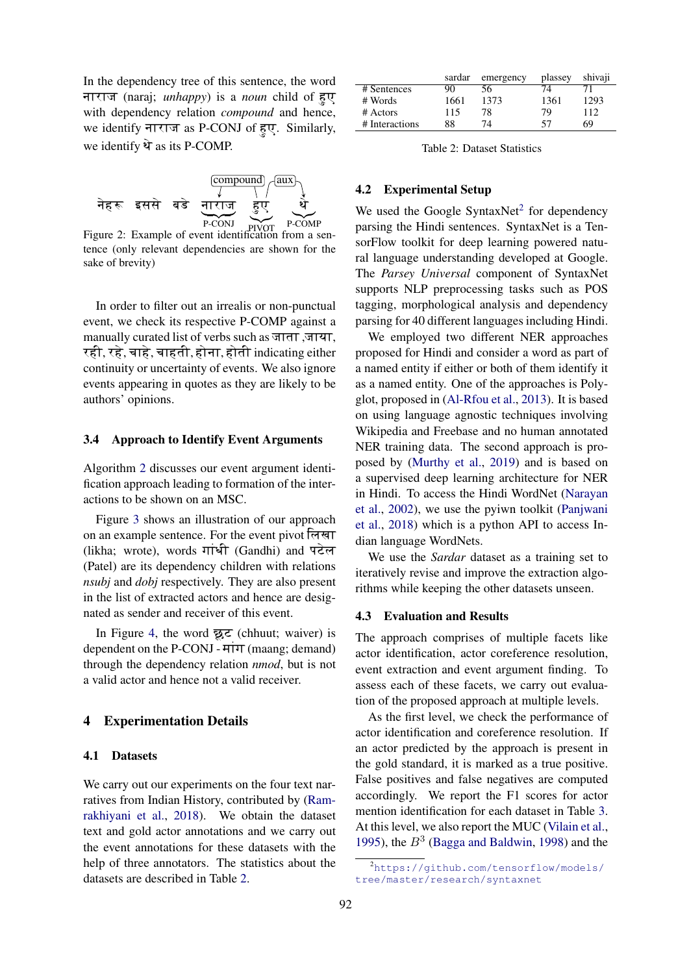In the dependency tree of this sentence, the word नाराज (naraj; *unhappy*) is a *noun* child of हुए with dependency relation *compound* and hence, we identify नाराज as P-CONJ of हुए. Similarly, we identify  $\hat{Y}$  as its P-COMP.

<span id="page-5-0"></span>

Figure 2: Example of event identification from a sentence (only relevant dependencies are shown for the sake of brevity)

In order to filter out an irrealis or non-punctual event, we check its respective P-COMP against a manually curated list of verbs such as जाता ,जाया, रही, रहे, चाहे, चाहती, होना, होती indicating either continuity or uncertainty of events. We also ignore events appearing in quotes as they are likely to be authors' opinions.

#### 3.4 Approach to Identify Event Arguments

Algorithm [2](#page-4-1) discusses our event argument identification approach leading to formation of the interactions to be shown on an MSC.

Figure [3](#page-6-0) shows an illustration of our approach on an example sentence. For the event pivot लिखा (likha; wrote), words गांधी (Gandhi) and पटेल (Patel) are its dependency children with relations *nsubj* and *dobj* respectively. They are also present in the list of extracted actors and hence are designated as sender and receiver of this event.

In Figure [4,](#page-6-1) the word  $\overline{\mathbf{z}}$  (chhuut; waiver) is dependent on the P-CONJ -  $HTT$  (maang; demand) through the dependency relation *nmod*, but is not a valid actor and hence not a valid receiver.

### 4 Experimentation Details

#### 4.1 Datasets

We carry out our experiments on the four text narratives from Indian History, contributed by [\(Ram](#page-8-10)[rakhiyani et al.,](#page-8-10) [2018\)](#page-8-10). We obtain the dataset text and gold actor annotations and we carry out the event annotations for these datasets with the help of three annotators. The statistics about the datasets are described in Table [2.](#page-5-1)

<span id="page-5-1"></span>

|                | sardar | emergency | plassey | shivaji |
|----------------|--------|-----------|---------|---------|
| # Sentences    | 90     | 56        | 74      |         |
| # Words        | 1661   | 1373      | 1361    | 1293    |
| # Actors       | 115    | 78        | 79      | 112     |
| # Interactions | 88     | 74        | 57      | 69      |

Table 2: Dataset Statistics

### 4.2 Experimental Setup

We used the Google SyntaxNet<sup>[2](#page-0-1)</sup> for dependency parsing the Hindi sentences. SyntaxNet is a TensorFlow toolkit for deep learning powered natural language understanding developed at Google. The *Parsey Universal* component of SyntaxNet supports NLP preprocessing tasks such as POS tagging, morphological analysis and dependency parsing for 40 different languages including Hindi.

We employed two different NER approaches proposed for Hindi and consider a word as part of a named entity if either or both of them identify it as a named entity. One of the approaches is Polyglot, proposed in [\(Al-Rfou et al.,](#page-8-13) [2013\)](#page-8-13). It is based on using language agnostic techniques involving Wikipedia and Freebase and no human annotated NER training data. The second approach is proposed by [\(Murthy et al.,](#page-8-14) [2019\)](#page-8-14) and is based on a supervised deep learning architecture for NER in Hindi. To access the Hindi WordNet [\(Narayan](#page-8-15) [et al.,](#page-8-15) [2002\)](#page-8-15), we use the pyiwn toolkit [\(Panjwani](#page-8-16) [et al.,](#page-8-16) [2018\)](#page-8-16) which is a python API to access Indian language WordNets.

We use the *Sardar* dataset as a training set to iteratively revise and improve the extraction algorithms while keeping the other datasets unseen.

#### 4.3 Evaluation and Results

The approach comprises of multiple facets like actor identification, actor coreference resolution, event extraction and event argument finding. To assess each of these facets, we carry out evaluation of the proposed approach at multiple levels.

As the first level, we check the performance of actor identification and coreference resolution. If an actor predicted by the approach is present in the gold standard, it is marked as a true positive. False positives and false negatives are computed accordingly. We report the F1 scores for actor mention identification for each dataset in Table [3.](#page-6-2) At this level, we also report the MUC [\(Vilain et al.,](#page-9-2) [1995\)](#page-9-2), the  $B<sup>3</sup>$  [\(Bagga and Baldwin,](#page-8-17) [1998\)](#page-8-17) and the

<sup>&</sup>lt;sup>2</sup>[https://github.com/tensorflow/models/](https://github.com/tensorflow/models/tree/master/research/syntaxnet) [tree/master/research/syntaxnet](https://github.com/tensorflow/models/tree/master/research/syntaxnet)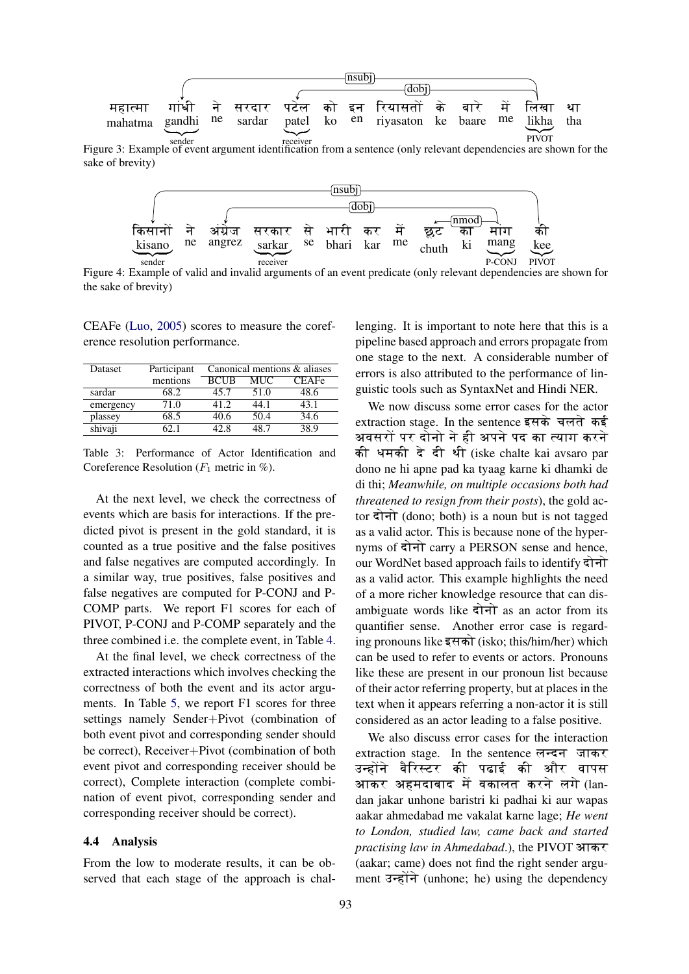<span id="page-6-0"></span>

<span id="page-6-1"></span>Figure 3: Example of event argument identification from a sentence (only relevant dependencies are shown for the sake of brevity)



Figure 4: Example of valid and invalid arguments of an event predicate (only relevant dependencies are shown for the sake of brevity)

CEAFe [\(Luo,](#page-8-18) [2005\)](#page-8-18) scores to measure the coreference resolution performance.

<span id="page-6-2"></span>

| Dataset   | Participant | Canonical mentions & aliases |      |       |
|-----------|-------------|------------------------------|------|-------|
|           | mentions    | <b>BCUB</b>                  | MUC  | CEAFe |
| sardar    | 68.2        | 45.7                         | 51.0 | 48.6  |
| emergency | 71.0        | 41 2                         | 44.1 | 43.1  |
| plassey   | 68.5        | 40.6                         | 50.4 | 34.6  |
| shivaji   |             |                              | .R 7 | 38 Q  |

Table 3: Performance of Actor Identification and Coreference Resolution ( $F_1$  metric in %).

At the next level, we check the correctness of events which are basis for interactions. If the predicted pivot is present in the gold standard, it is counted as a true positive and the false positives and false negatives are computed accordingly. In a similar way, true positives, false positives and false negatives are computed for P-CONJ and P-COMP parts. We report F1 scores for each of PIVOT, P-CONJ and P-COMP separately and the three combined i.e. the complete event, in Table [4.](#page-7-0)

At the final level, we check correctness of the extracted interactions which involves checking the correctness of both the event and its actor arguments. In Table [5,](#page-7-1) we report F1 scores for three settings namely Sender+Pivot (combination of both event pivot and corresponding sender should be correct), Receiver+Pivot (combination of both event pivot and corresponding receiver should be correct), Complete interaction (complete combination of event pivot, corresponding sender and corresponding receiver should be correct).

### 4.4 Analysis

From the low to moderate results, it can be observed that each stage of the approach is chal-

lenging. It is important to note here that this is a pipeline based approach and errors propagate from one stage to the next. A considerable number of errors is also attributed to the performance of linguistic tools such as SyntaxNet and Hindi NER.

We now discuss some error cases for the actor  $extraction stage.$  In the sentence इसके चलते कई अवसरों पर दोनो ने ही अपने पद का त्याग करने की धमकी दे दी थी (iske chalte kai avsaro par dono ne hi apne pad ka tyaag karne ki dhamki de di thi; *Meanwhile, on multiple occasions both had threatened to resign from their posts*), the gold actor दोनो (dono; both) is a noun but is not tagged as a valid actor. This is because none of the hypernyms of दोनो carry a PERSON sense and hence, our WordNet based approach fails to identify  $\vec{\tau}$ as a valid actor. This example highlights the need of a more richer knowledge resource that can disambiguate words like  $\overrightarrow{a}$  as an actor from its quantifier sense. Another error case is regarding pronouns like इसको (isko: this/him/her) which can be used to refer to events or actors. Pronouns like these are present in our pronoun list because of their actor referring property, but at places in the text when it appears referring a non-actor it is still considered as an actor leading to a false positive.

We also discuss error cases for the interaction extraction stage. In the sentence लन्दन जाकर उन्होंने बैरिस्टर की पढाई की और वापस आकर अहमदाबाद में वकालत करने लगे (landan jakar unhone baristri ki padhai ki aur wapas aakar ahmedabad me vakalat karne lage; *He went to London, studied law, came back and started practising law in Ahmedabad.*), the PIVOT आकर (aakar; came) does not find the right sender argument  $\overrightarrow{3}$   $\overrightarrow{5}$  (unhone; he) using the dependency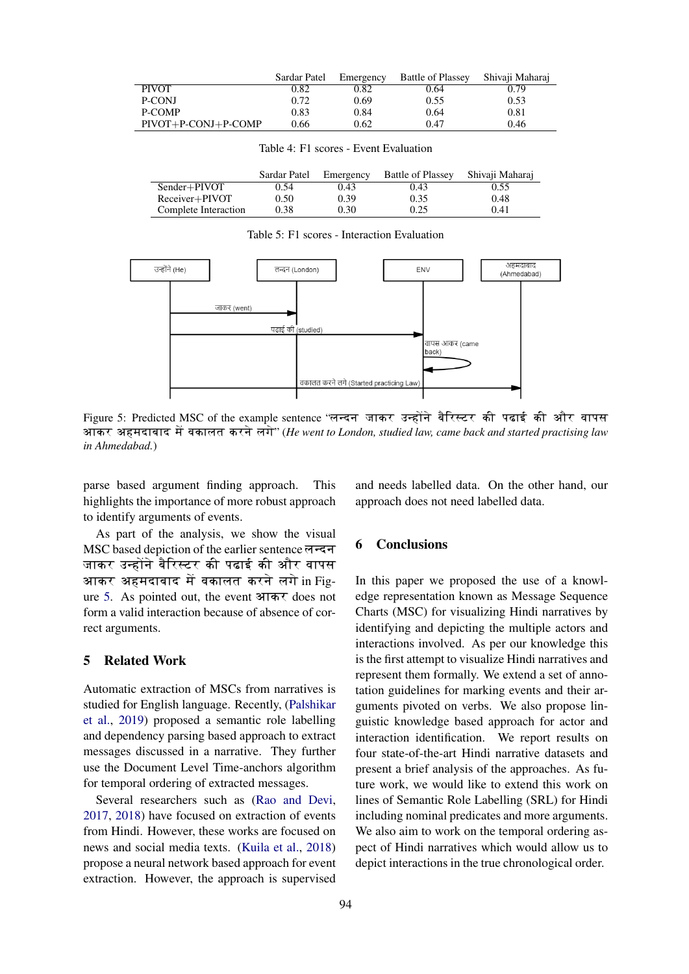<span id="page-7-0"></span>

|                       | Sardar Patel | Emergency | <b>Battle of Plassey</b> | Shivaii Maharai |
|-----------------------|--------------|-----------|--------------------------|-----------------|
| <b>PIVOT</b>          | 0.82         | 0.82      | 0.64                     | 0.79            |
| P-CONJ                | 0.72         | 0.69      | 0.55                     | 0.53            |
| P-COMP                | 0.83         | 0.84      | 0.64                     | 0.81            |
| $PIVOT+P-CONJ+P-COMP$ | 0.66         | 0.62      | 0.47                     | 0.46            |

Table 4: F1 scores - Event Evaluation

<span id="page-7-1"></span>

|                      | Sardar Patel | Emergency | <b>Battle of Plassey</b> | Shivaji Maharaj |
|----------------------|--------------|-----------|--------------------------|-----------------|
| Sender+PIVOT         | 0.54         | 0.43      | 0.43                     | 0.55            |
| $Receiver + PIVOT$   | 0.50         | 0.39      | 0.35                     | 0.48            |
| Complete Interaction | 0.38         | 0.30      | 0.25                     | 0.41            |

Table 5: F1 scores - Interaction Evaluation

<span id="page-7-2"></span>

Figure 5: Predicted MSC of the example sentence ''लन्दन जाकर उन्होंने बैरिस्टर की पढाई की और वापस आकर अहमदाबाद में वकालत करने लगे" (*He went to London, studied law, came back and started practising law in Ahmedabad.*)

parse based argument finding approach. This highlights the importance of more robust approach to identify arguments of events.

As part of the analysis, we show the visual MSC based depiction of the earlier sentence लन्दन जाकर उन्होंने बैरिस्टर की पढाई की और वापस आकर अहमदाबाद में वकालत करने लगे $\,$ in Fig- $\,$ ure [5.](#page-7-2) As pointed out, the event आकर does not form a valid interaction because of absence of correct arguments.

## 5 Related Work

Automatic extraction of MSCs from narratives is studied for English language. Recently, [\(Palshikar](#page-8-5) [et al.,](#page-8-5) [2019\)](#page-8-5) proposed a semantic role labelling and dependency parsing based approach to extract messages discussed in a narrative. They further use the Document Level Time-anchors algorithm for temporal ordering of extracted messages.

Several researchers such as [\(Rao and Devi,](#page-8-19) [2017,](#page-8-19) [2018\)](#page-8-20) have focused on extraction of events from Hindi. However, these works are focused on news and social media texts. [\(Kuila et al.,](#page-8-21) [2018\)](#page-8-21) propose a neural network based approach for event extraction. However, the approach is supervised and needs labelled data. On the other hand, our approach does not need labelled data.

### 6 Conclusions

In this paper we proposed the use of a knowledge representation known as Message Sequence Charts (MSC) for visualizing Hindi narratives by identifying and depicting the multiple actors and interactions involved. As per our knowledge this is the first attempt to visualize Hindi narratives and represent them formally. We extend a set of annotation guidelines for marking events and their arguments pivoted on verbs. We also propose linguistic knowledge based approach for actor and interaction identification. We report results on four state-of-the-art Hindi narrative datasets and present a brief analysis of the approaches. As future work, we would like to extend this work on lines of Semantic Role Labelling (SRL) for Hindi including nominal predicates and more arguments. We also aim to work on the temporal ordering aspect of Hindi narratives which would allow us to depict interactions in the true chronological order.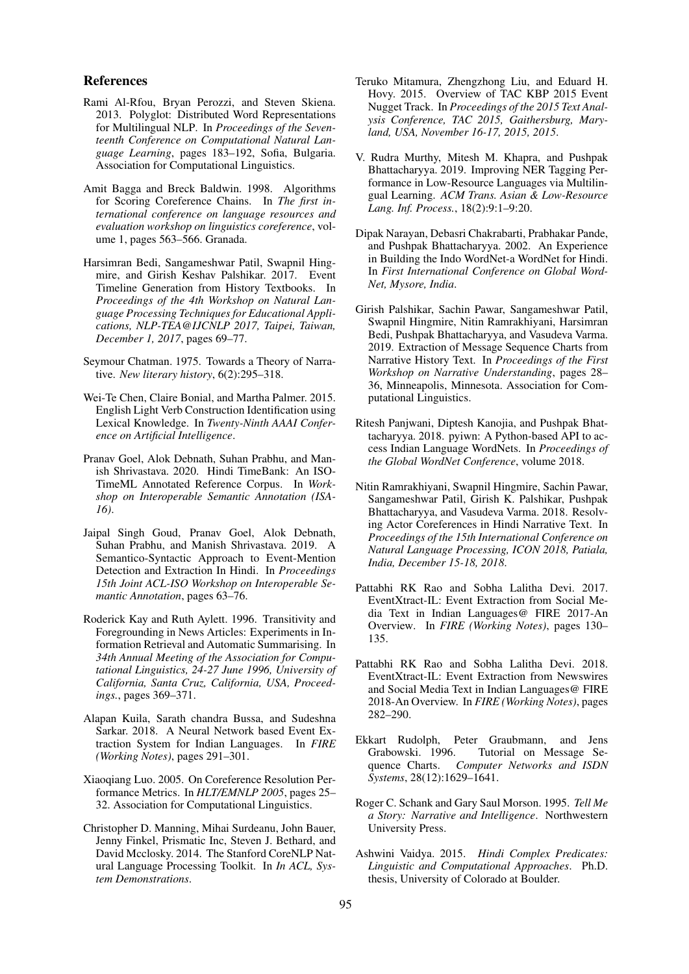### References

- <span id="page-8-13"></span>Rami Al-Rfou, Bryan Perozzi, and Steven Skiena. 2013. Polyglot: Distributed Word Representations for Multilingual NLP. In *Proceedings of the Seventeenth Conference on Computational Natural Language Learning*, pages 183–192, Sofia, Bulgaria. Association for Computational Linguistics.
- <span id="page-8-17"></span>Amit Bagga and Breck Baldwin. 1998. Algorithms for Scoring Coreference Chains. In *The first international conference on language resources and evaluation workshop on linguistics coreference*, volume 1, pages 563–566. Granada.
- <span id="page-8-4"></span>Harsimran Bedi, Sangameshwar Patil, Swapnil Hingmire, and Girish Keshav Palshikar. 2017. Event Timeline Generation from History Textbooks. In *Proceedings of the 4th Workshop on Natural Language Processing Techniques for Educational Applications, NLP-TEA@IJCNLP 2017, Taipei, Taiwan, December 1, 2017*, pages 69–77.
- <span id="page-8-1"></span>Seymour Chatman. 1975. Towards a Theory of Narrative. *New literary history*, 6(2):295–318.
- <span id="page-8-9"></span>Wei-Te Chen, Claire Bonial, and Martha Palmer. 2015. English Light Verb Construction Identification using Lexical Knowledge. In *Twenty-Ninth AAAI Conference on Artificial Intelligence*.
- <span id="page-8-8"></span>Pranav Goel, Alok Debnath, Suhan Prabhu, and Manish Shrivastava. 2020. Hindi TimeBank: An ISO-TimeML Annotated Reference Corpus. In *Workshop on Interoperable Semantic Annotation (ISA-16)*.
- <span id="page-8-6"></span>Jaipal Singh Goud, Pranav Goel, Alok Debnath, Suhan Prabhu, and Manish Shrivastava. 2019. A Semantico-Syntactic Approach to Event-Mention Detection and Extraction In Hindi. In *Proceedings 15th Joint ACL-ISO Workshop on Interoperable Semantic Annotation*, pages 63–76.
- <span id="page-8-12"></span>Roderick Kay and Ruth Aylett. 1996. Transitivity and Foregrounding in News Articles: Experiments in Information Retrieval and Automatic Summarising. In *34th Annual Meeting of the Association for Computational Linguistics, 24-27 June 1996, University of California, Santa Cruz, California, USA, Proceedings.*, pages 369–371.
- <span id="page-8-21"></span>Alapan Kuila, Sarath chandra Bussa, and Sudeshna Sarkar. 2018. A Neural Network based Event Extraction System for Indian Languages. In *FIRE (Working Notes)*, pages 291–301.
- <span id="page-8-18"></span>Xiaoqiang Luo. 2005. On Coreference Resolution Performance Metrics. In *HLT/EMNLP 2005*, pages 25– 32. Association for Computational Linguistics.
- <span id="page-8-2"></span>Christopher D. Manning, Mihai Surdeanu, John Bauer, Jenny Finkel, Prismatic Inc, Steven J. Bethard, and David Mcclosky. 2014. The Stanford CoreNLP Natural Language Processing Toolkit. In *In ACL, System Demonstrations*.
- <span id="page-8-7"></span>Teruko Mitamura, Zhengzhong Liu, and Eduard H. Hovy. 2015. Overview of TAC KBP 2015 Event Nugget Track. In *Proceedings of the 2015 Text Analysis Conference, TAC 2015, Gaithersburg, Maryland, USA, November 16-17, 2015, 2015*.
- <span id="page-8-14"></span>V. Rudra Murthy, Mitesh M. Khapra, and Pushpak Bhattacharyya. 2019. Improving NER Tagging Performance in Low-Resource Languages via Multilingual Learning. *ACM Trans. Asian & Low-Resource Lang. Inf. Process.*, 18(2):9:1–9:20.
- <span id="page-8-15"></span>Dipak Narayan, Debasri Chakrabarti, Prabhakar Pande, and Pushpak Bhattacharyya. 2002. An Experience in Building the Indo WordNet-a WordNet for Hindi. In *First International Conference on Global Word-Net, Mysore, India*.
- <span id="page-8-5"></span>Girish Palshikar, Sachin Pawar, Sangameshwar Patil, Swapnil Hingmire, Nitin Ramrakhiyani, Harsimran Bedi, Pushpak Bhattacharyya, and Vasudeva Varma. 2019. Extraction of Message Sequence Charts from Narrative History Text. In *Proceedings of the First Workshop on Narrative Understanding*, pages 28– 36, Minneapolis, Minnesota. Association for Computational Linguistics.
- <span id="page-8-16"></span>Ritesh Panjwani, Diptesh Kanojia, and Pushpak Bhattacharyya. 2018. pyiwn: A Python-based API to access Indian Language WordNets. In *Proceedings of the Global WordNet Conference*, volume 2018.
- <span id="page-8-10"></span>Nitin Ramrakhiyani, Swapnil Hingmire, Sachin Pawar, Sangameshwar Patil, Girish K. Palshikar, Pushpak Bhattacharyya, and Vasudeva Varma. 2018. Resolving Actor Coreferences in Hindi Narrative Text. In *Proceedings of the 15th International Conference on Natural Language Processing, ICON 2018, Patiala, India, December 15-18, 2018*.
- <span id="page-8-19"></span>Pattabhi RK Rao and Sobha Lalitha Devi. 2017. EventXtract-IL: Event Extraction from Social Media Text in Indian Languages@ FIRE 2017-An Overview. In *FIRE (Working Notes)*, pages 130– 135.
- <span id="page-8-20"></span>Pattabhi RK Rao and Sobha Lalitha Devi. 2018. EventXtract-IL: Event Extraction from Newswires and Social Media Text in Indian Languages@ FIRE 2018-An Overview. In *FIRE (Working Notes)*, pages 282–290.
- <span id="page-8-3"></span>Ekkart Rudolph, Peter Graubmann, and Jens Grabowski. 1996. Tutorial on Message Sequence Charts. *Computer Networks and ISDN Systems*, 28(12):1629–1641.
- <span id="page-8-0"></span>Roger C. Schank and Gary Saul Morson. 1995. *Tell Me a Story: Narrative and Intelligence*. Northwestern University Press.
- <span id="page-8-11"></span>Ashwini Vaidya. 2015. *Hindi Complex Predicates: Linguistic and Computational Approaches*. Ph.D. thesis, University of Colorado at Boulder.